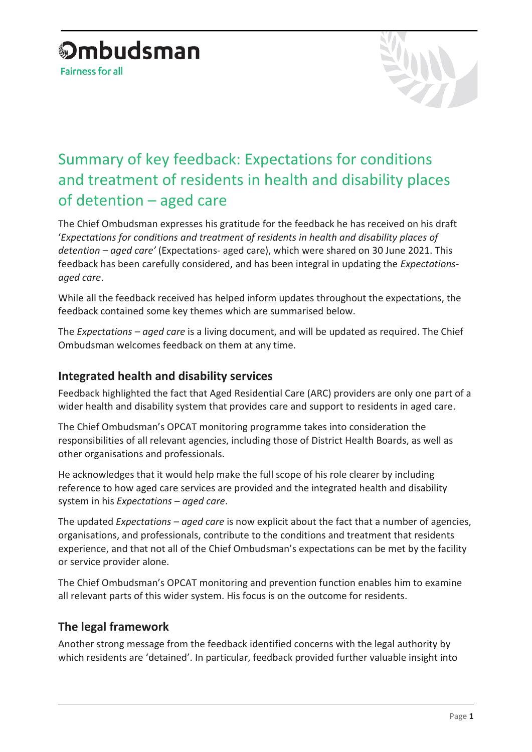# **Ombudsman**

**Fairness for all** 



# Summary of key feedback: Expectations for conditions and treatment of residents in health and disability places of detention – aged care

The Chief Ombudsman expresses his gratitude for the feedback he has received on his draft '*Expectations for conditions and treatment of residents in health and disability places of detention – aged care'* (Expectations- aged care), which were shared on 30 June 2021. This feedback has been carefully considered, and has been integral in updating the *Expectationsaged care*.

While all the feedback received has helped inform updates throughout the expectations, the feedback contained some key themes which are summarised below.

The *Expectations – aged care* is a living document, and will be updated as required. The Chief Ombudsman welcomes feedback on them at any time.

#### **Integrated health and disability services**

Feedback highlighted the fact that Aged Residential Care (ARC) providers are only one part of a wider health and disability system that provides care and support to residents in aged care.

The Chief Ombudsman's OPCAT monitoring programme takes into consideration the responsibilities of all relevant agencies, including those of District Health Boards, as well as other organisations and professionals.

He acknowledges that it would help make the full scope of his role clearer by including reference to how aged care services are provided and the integrated health and disability system in his *Expectations – aged care*.

The updated *Expectations – aged care* is now explicit about the fact that a number of agencies, organisations, and professionals, contribute to the conditions and treatment that residents experience, and that not all of the Chief Ombudsman's expectations can be met by the facility or service provider alone.

The Chief Ombudsman's OPCAT monitoring and prevention function enables him to examine all relevant parts of this wider system. His focus is on the outcome for residents.

### **The legal framework**

Another strong message from the feedback identified concerns with the legal authority by which residents are 'detained'. In particular, feedback provided further valuable insight into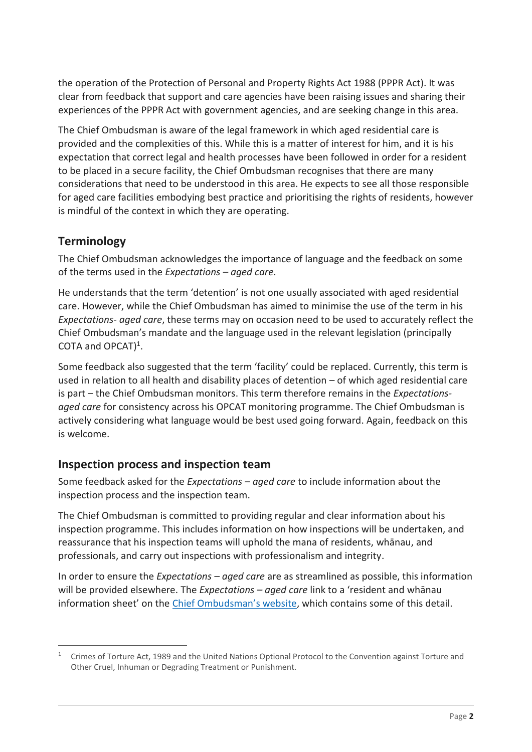the operation of the Protection of Personal and Property Rights Act 1988 (PPPR Act). It was clear from feedback that support and care agencies have been raising issues and sharing their experiences of the PPPR Act with government agencies, and are seeking change in this area.

The Chief Ombudsman is aware of the legal framework in which aged residential care is provided and the complexities of this. While this is a matter of interest for him, and it is his expectation that correct legal and health processes have been followed in order for a resident to be placed in a secure facility, the Chief Ombudsman recognises that there are many considerations that need to be understood in this area. He expects to see all those responsible for aged care facilities embodying best practice and prioritising the rights of residents, however is mindful of the context in which they are operating.

#### **Terminology**

The Chief Ombudsman acknowledges the importance of language and the feedback on some of the terms used in the *Expectations – aged care*.

He understands that the term 'detention' is not one usually associated with aged residential care. However, while the Chief Ombudsman has aimed to minimise the use of the term in his *Expectations- aged care*, these terms may on occasion need to be used to accurately reflect the Chief Ombudsman's mandate and the language used in the relevant legislation (principally COTA and OPCAT $)^1$ .

Some feedback also suggested that the term 'facility' could be replaced. Currently, this term is used in relation to all health and disability places of detention – of which aged residential care is part – the Chief Ombudsman monitors. This term therefore remains in the *Expectationsaged care* for consistency across his OPCAT monitoring programme. The Chief Ombudsman is actively considering what language would be best used going forward. Again, feedback on this is welcome.

### **Inspection process and inspection team**

Some feedback asked for the *Expectations – aged care* to include information about the inspection process and the inspection team.

The Chief Ombudsman is committed to providing regular and clear information about his inspection programme. This includes information on how inspections will be undertaken, and reassurance that his inspection teams will uphold the mana of residents, whānau, and professionals, and carry out inspections with professionalism and integrity.

In order to ensure the *Expectations – aged care* are as streamlined as possible, this information will be provided elsewhere. The *Expectations – aged care* link to a 'resident and whānau information sheet' on the [Chief Ombudsman's website](https://www.ombudsman.parliament.nz/resources/information-residents-point-contact-upcoming-inspection-chief-ombudsmans-team), which contains some of this detail.

 $\overline{a}$ <sup>1</sup> Crimes of Torture Act, 1989 and the United Nations Optional Protocol to the Convention against Torture and Other Cruel, Inhuman or Degrading Treatment or Punishment.